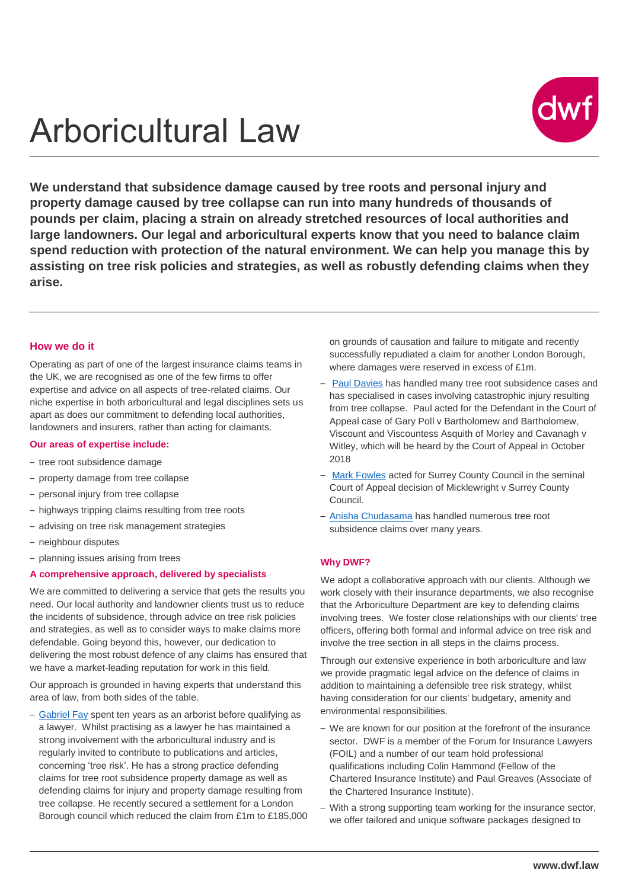# Arboricultural Law



**We understand that subsidence damage caused by tree roots and personal injury and property damage caused by tree collapse can run into many hundreds of thousands of pounds per claim, placing a strain on already stretched resources of local authorities and large landowners. Our legal and arboricultural experts know that you need to balance claim spend reduction with protection of the natural environment. We can help you manage this by assisting on tree risk policies and strategies, as well as robustly defending claims when they arise.**

#### **How we do it**

Operating as part of one of the largest insurance claims teams in the UK, we are recognised as one of the few firms to offer expertise and advice on all aspects of tree-related claims. Our niche expertise in both arboricultural and legal disciplines sets us apart as does our commitment to defending local authorities, landowners and insurers, rather than acting for claimants.

#### **Our areas of expertise include:**

- tree root subsidence damage
- property damage from tree collapse
- personal injury from tree collapse
- highways tripping claims resulting from tree roots
- advising on tree risk management strategies
- neighbour disputes
- planning issues arising from trees

#### **A comprehensive approach, delivered by specialists**

We are committed to delivering a service that gets the results you need. Our local authority and landowner clients trust us to reduce the incidents of subsidence, through advice on tree risk policies and strategies, as well as to consider ways to make claims more defendable. Going beyond this, however, our dedication to delivering the most robust defence of any claims has ensured that we have a market-leading reputation for work in this field.

Our approach is grounded in having experts that understand this area of law, from both sides of the table.

– [Gabriel Fay](mailto:gabriel.fay@dwf.law) spent ten years as an arborist before qualifying as a lawyer. Whilst practising as a lawyer he has maintained a strong involvement with the arboricultural industry and is regularly invited to contribute to publications and articles, concerning 'tree risk'. He has a strong practice defending claims for tree root subsidence property damage as well as defending claims for injury and property damage resulting from tree collapse. He recently secured a settlement for a London Borough council which reduced the claim from £1m to £185,000 on grounds of causation and failure to mitigate and recently successfully repudiated a claim for another London Borough, where damages were reserved in excess of £1m.

- [Paul Davies](mailto:Paul.davies@dwf.law) has handled many tree root subsidence cases and has specialised in cases involving catastrophic injury resulting from tree collapse. Paul acted for the Defendant in the Court of Appeal case of Gary Poll v Bartholomew and Bartholomew, Viscount and Viscountess Asquith of Morley and Cavanagh v Witley, which will be heard by the Court of Appeal in October 2018
- [Mark Fowles](mailto:Mark.fowles@dwf.law) acted for Surrey County Council in the seminal Court of Appeal decision of Micklewright v Surrey County Council.
- [Anisha Chudasama](mailto:Anisha.Chudasama@dwf.law) has handled numerous tree root subsidence claims over many years.

#### **Why DWF?**

We adopt a collaborative approach with our clients. Although we work closely with their insurance departments, we also recognise that the Arboriculture Department are key to defending claims involving trees. We foster close relationships with our clients' tree officers, offering both formal and informal advice on tree risk and involve the tree section in all steps in the claims process.

Through our extensive experience in both arboriculture and law we provide pragmatic legal advice on the defence of claims in addition to maintaining a defensible tree risk strategy, whilst having consideration for our clients' budgetary, amenity and environmental responsibilities.

- We are known for our position at the forefront of the insurance sector. DWF is a member of the Forum for Insurance Lawyers (FOIL) and a number of our team hold professional qualifications including Colin Hammond (Fellow of the Chartered Insurance Institute) and Paul Greaves (Associate of the Chartered Insurance Institute).
- With a strong supporting team working for the insurance sector, we offer tailored and unique software packages designed to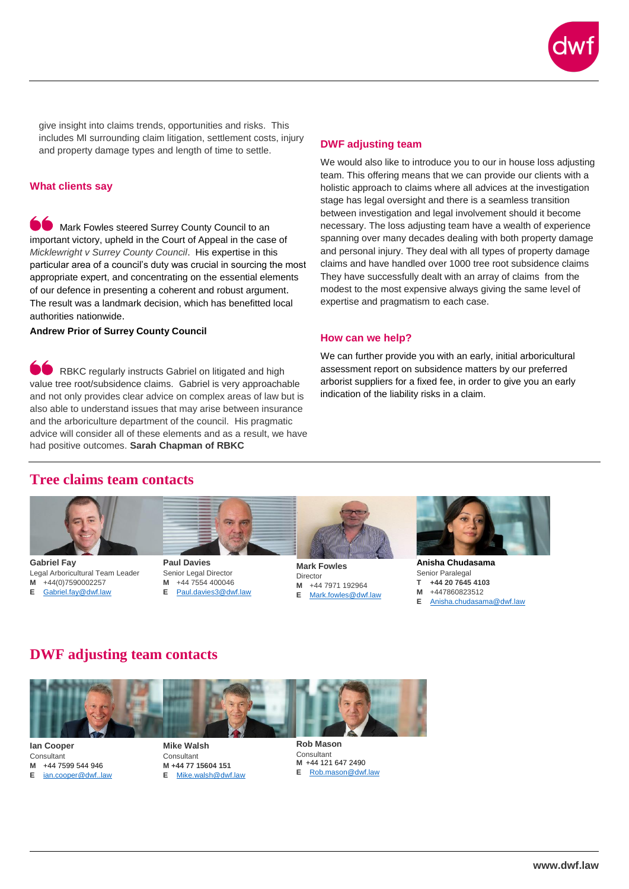

give insight into claims trends, opportunities and risks. This includes MI surrounding claim litigation, settlement costs, injury and property damage types and length of time to settle.

#### **What clients say**

Mark Fowles steered Surrey County Council to an important victory, upheld in the Court of Appeal in the case of *Micklewright v Surrey County Council*. His expertise in this particular area of a council's duty was crucial in sourcing the most appropriate expert, and concentrating on the essential elements of our defence in presenting a coherent and robust argument. The result was a landmark decision, which has benefitted local authorities nationwide.

**Andrew Prior of Surrey County Council**

**O** RBKC regularly instructs Gabriel on litigated and high value tree root/subsidence claims. Gabriel is very approachable and not only provides clear advice on complex areas of law but is also able to understand issues that may arise between insurance and the arboriculture department of the council. His pragmatic advice will consider all of these elements and as a result, we have had positive outcomes. **Sarah Chapman of RBKC**

#### **DWF adjusting team**

We would also like to introduce you to our in house loss adjusting team. This offering means that we can provide our clients with a holistic approach to claims where all advices at the investigation stage has legal oversight and there is a seamless transition between investigation and legal involvement should it become necessary. The loss adjusting team have a wealth of experience spanning over many decades dealing with both property damage and personal injury. They deal with all types of property damage claims and have handled over 1000 tree root subsidence claims They have successfully dealt with an array of claims from the modest to the most expensive always giving the same level of expertise and pragmatism to each case.

#### **How can we help?**

We can further provide you with an early, initial arboricultural assessment report on subsidence matters by our preferred arborist suppliers for a fixed fee, in order to give you an early indication of the liability risks in a claim.

## **Tree claims team contacts**



**Gabriel Fay** Legal Arboricultural Team Leader **M** +44(0)7590002257 **E** [Gabriel.fay@dwf.law](mailto:Gabriel.fay@dwf.law)



**Paul Davies**  Senior Legal Director **M** +44 7554 400046 **E** [Paul.davies3@dwf.law](file:///C:/Users/11883/Desktop/Comms/Paul.davies3@dwf.law)



**Mark Fowles** Director **M** +44 7971 192964 **E** [Mark.fowles@dwf.law](mailto:Mark.fowles@dwf.law)



Senior Paralegal **T +44 20 7645 4103 M** +447860823512 **E** [Anisha.chudasama@dwf.law](mailto:Anisha.chudasama@dwf.law)

### **DWF adjusting team contacts**



**Ian Cooper**  Consultant **M** +44 7599 544 946 **E** ian.cooper@dwf.law **Mike Walsh** Consultant **M +44 77 15604 151 E** [Mike.walsh@dwf.law](mailto:Mike.walsh@dwf.law) **Rob Mason** Consultant **M** +44 121 647 2490 **E** [Rob.mason@dwf.law](mailto:Rob.mason@dwf.law)